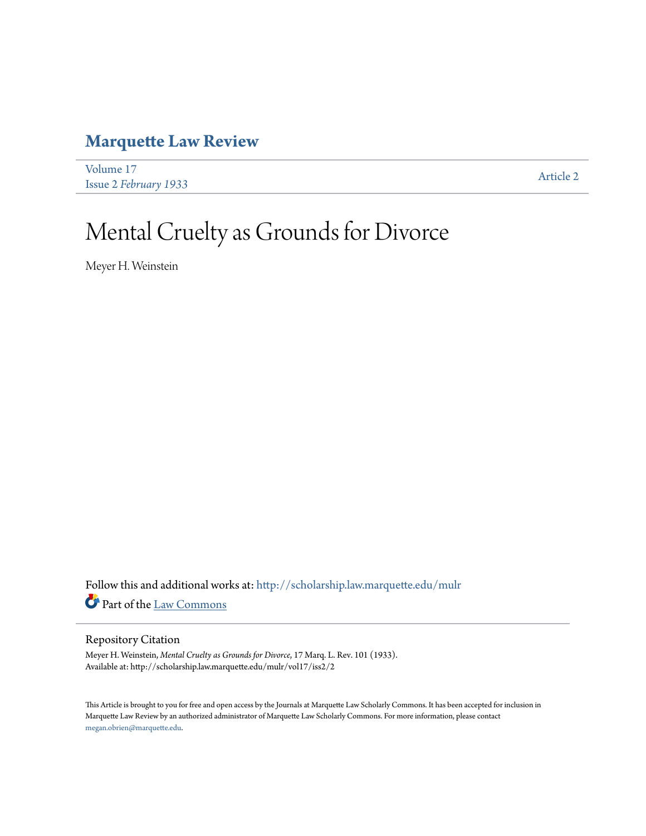## **[Marquette Law Review](http://scholarship.law.marquette.edu/mulr?utm_source=scholarship.law.marquette.edu%2Fmulr%2Fvol17%2Fiss2%2F2&utm_medium=PDF&utm_campaign=PDFCoverPages)**

[Volume 17](http://scholarship.law.marquette.edu/mulr/vol17?utm_source=scholarship.law.marquette.edu%2Fmulr%2Fvol17%2Fiss2%2F2&utm_medium=PDF&utm_campaign=PDFCoverPages) Issue 2 *[February 1933](http://scholarship.law.marquette.edu/mulr/vol17/iss2?utm_source=scholarship.law.marquette.edu%2Fmulr%2Fvol17%2Fiss2%2F2&utm_medium=PDF&utm_campaign=PDFCoverPages)* [Article 2](http://scholarship.law.marquette.edu/mulr/vol17/iss2/2?utm_source=scholarship.law.marquette.edu%2Fmulr%2Fvol17%2Fiss2%2F2&utm_medium=PDF&utm_campaign=PDFCoverPages)

# Mental Cruelty as Grounds for Divorce

Meyer H. Weinstein

Follow this and additional works at: [http://scholarship.law.marquette.edu/mulr](http://scholarship.law.marquette.edu/mulr?utm_source=scholarship.law.marquette.edu%2Fmulr%2Fvol17%2Fiss2%2F2&utm_medium=PDF&utm_campaign=PDFCoverPages) Part of the [Law Commons](http://network.bepress.com/hgg/discipline/578?utm_source=scholarship.law.marquette.edu%2Fmulr%2Fvol17%2Fiss2%2F2&utm_medium=PDF&utm_campaign=PDFCoverPages)

#### Repository Citation

Meyer H. Weinstein, *Mental Cruelty as Grounds for Divorce*, 17 Marq. L. Rev. 101 (1933). Available at: http://scholarship.law.marquette.edu/mulr/vol17/iss2/2

This Article is brought to you for free and open access by the Journals at Marquette Law Scholarly Commons. It has been accepted for inclusion in Marquette Law Review by an authorized administrator of Marquette Law Scholarly Commons. For more information, please contact [megan.obrien@marquette.edu.](mailto:megan.obrien@marquette.edu)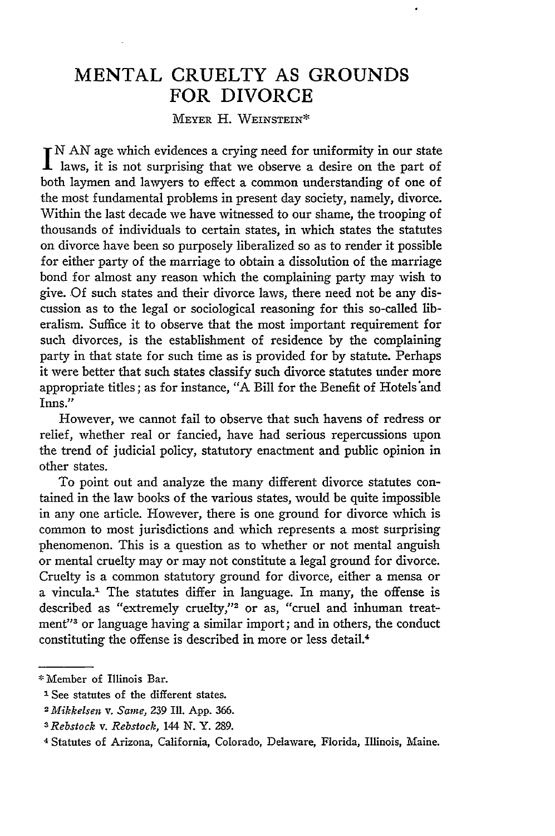### **MENTAL** CRUELTY **AS GROUNDS** FOR DIVORCE

MEYER H. WEINSTEIN\*

N AN age which evidences a crying need for uniformity in our state laws, it is not surprising that we observe a desire on the part of both laymen and lawyers to effect a common understanding of one of the most fundamental problems in present day society, namely, divorce. Within the last decade we have witnessed to our shame, the trooping of thousands of individuals to certain states, in which states the statutes on divorce have been so purposely liberalized so as to render it possible for either party of the marriage to obtain a dissolution of the marriage bond for almost any reason which the complaining party may wish to give. Of such states and their divorce laws, there need not be any discussion as to the legal or sociological reasoning for this so-called liberalism. Suffice it to observe that the most important requirement for such divorces, is the establishment of residence by the complaining party in that state for such time as is provided for by statute. Perhaps it were better that such states classify such divorce statutes under more appropriate titles; as for instance, "A Bill for the Benefit of Hotels \*and Inns."

However, we cannot fail to observe that such havens of redress or relief, whether real or fancied, have had serious repercussions upon the trend of judicial policy, statutory enactment and public opinion in other states.

To point out and analyze the many different divorce statutes contained in the law books of the various states, would be quite impossible in any one article. However, there is one ground for divorce which is common to most jurisdictions and which represents a most surprising phenomenon. This is a question as to whether or not mental anguish or mental cruelty may or may not constitute a legal ground for divorce. Cruelty is a common statutory ground for divorce, either a mensa or a vincula.' The statutes differ in language. In many, the offense is described as "extremely cruelty,"<sup>2</sup> or as, "cruel and inhuman treatment"3 or language having a similar import; and in others, the conduct constituting the offense is described in more or less detail.<sup>4</sup>

**<sup>\*</sup>** Member of Illinois Bar.

**I** See statutes of the different states.

*<sup>2</sup> fMikkelsen v. Same,* 239 Ill. App. 366.

*<sup>3</sup> Rebstock v. Rebstock,* 144 N. Y. 289.

<sup>4</sup> Statutes of Arizona, California, Colorado, Delaware, Florida, Illinois, Maine.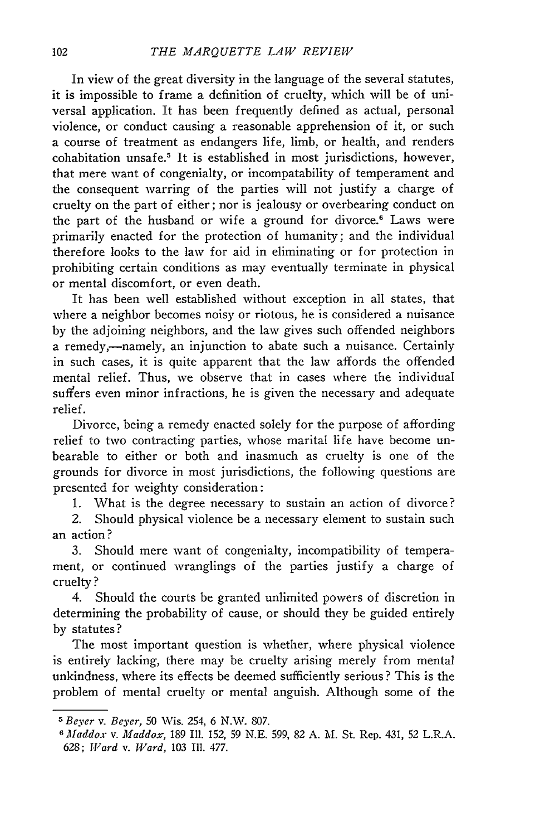In view of the great diversity in the language of the several statutes, it is impossible to frame a definition of cruelty, which will be of universal application. It has been frequently defined as actual, personal violence, or conduct causing a reasonable apprehension of it, or such a course of treatment as endangers life, limb, or health, and renders cohabitation unsafe.5 It is established in most jurisdictions, however, that mere want of congenialty, or incompatability of temperament and the consequent warring of the parties will not justify a charge of cruelty on the part of either; nor is jealousy or overbearing conduct on the part of the husband or wife a ground for divorce.' Laws were primarily enacted for the protection of humanity; and the individual therefore looks to the law for aid in eliminating or for protection in prohibiting certain conditions as may eventually terminate in physical or mental discomfort, or even death.

It has been well established without exception in all states, that where a neighbor becomes noisy or riotous, he is considered a nuisance **by** the adjoining neighbors, and the law gives such offended neighbors a remedy,-namely, an injunction to abate such a nuisance. Certainly in such cases, it is quite apparent that the law affords the offended mental relief. Thus, we observe that in cases where the individual suffers even minor infractions, he is given the necessary and adequate relief.

Divorce, being a remedy enacted solely for the purpose of affording relief to two contracting parties, whose marital life have become unbearable to either or both and inasmuch as cruelty is one of the grounds for divorce in most jurisdictions, the following questions are presented for weighty consideration:

**1.** What is the degree necessary to sustain an action of divorce?

2. Should physical violence be a necessary element to sustain such an action?

**3.** Should mere want of congenialty, incompatibility of temperament, or continued wranglings of the parties justify a charge of cruelty **?**

4. Should the courts be granted unlimited powers of discretion in determining the probability of cause, or should they be guided entirely **by** statutes?

The most important question is whether, where physical violence is entirely lacking, there may be cruelty arising merely from mental unkindness, where its effects be deemed sufficiently serious? This is the problem of mental cruelty or mental anguish. Although some of the

*<sup>5</sup> Beyer v. Beyer,* **50** Wis. 254, 6 N.W. 807.

*<sup>6</sup>Maddox v. Maddox,* 189 II. 152, 59 N.E. 599, 82 A. 2\1. St. Rep. 431, 52 L.R.A. *628; Ward v. Ward,* 103 **I11.** 477.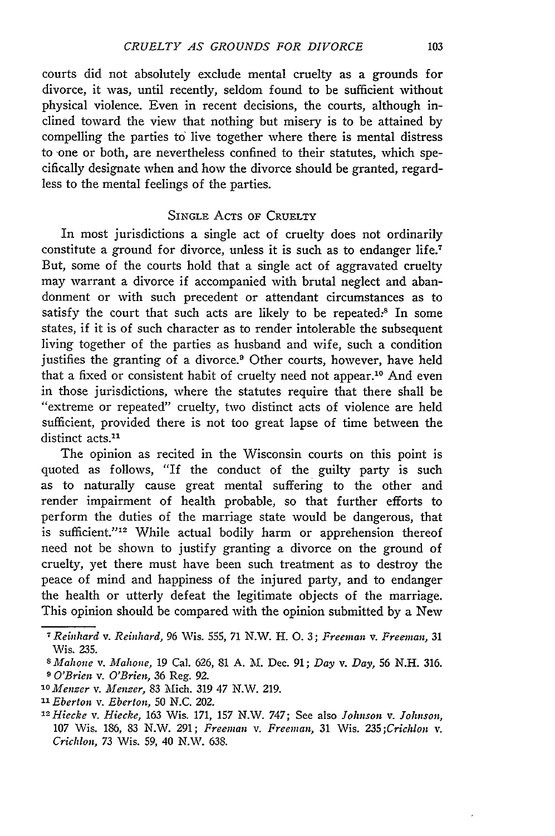courts did not absolutely exclude mental cruelty as a grounds for divorce, it was, until recently, seldom found to be sufficient without physical violence. Even in recent decisions, the courts, although inclined toward the view that nothing but misery is to be attained by compelling the parties to live together where there is mental distress to one or both, are nevertheless confined to their statutes, which specifically designate when and how the divorce should be granted, regardless to the mental feelings of the parties.

#### SINGLE **ACTS** OF CRUELTY

In most jurisdictions a single act of cruelty does not ordinarily constitute a ground for divorce, unless it is such as to endanger life.<sup>7</sup> But, some of the courts hold that a single act of aggravated cruelty may warrant a divorce if accompanied with brutal neglect and abandonment or with such precedent or attendant circumstances as to satisfy the court that such acts are likely to be repeated.<sup>8</sup> In some states, if it is of such character as to render intolerable the subsequent living together of the parties as husband and wife, such a condition justifies the granting of a divorce.<sup>9</sup> Other courts, however, have held that a fixed or consistent habit of cruelty need not appear.<sup>10</sup> And even in those jurisdictions, where the statutes require that there shall be "extreme or repeated" cruelty, two distinct acts of violence are held sufficient, provided there is not too great lapse of time between the distinct acts.<sup>11</sup>

The opinion as recited in the Wisconsin courts on this point is quoted as follows, "If the conduct of the guilty party is such as to naturally cause great mental suffering to the other and render impairment of health probable, so that further efforts to perform the duties of the marriage state would be dangerous, that is sufficient."<sup>12</sup> While actual bodily harm or apprehension thereof need not be shown to justify granting a divorce on the ground of cruelty, yet there must have been such treatment as to destroy the peace of mind and happiness of the injured party, and to endanger the health or utterly defeat the legitimate objects of the marriage. This opinion should be compared with the opinion submitted by a New

*<sup>7</sup> Reinhard v. Reinhard,* 96 Wis. 555, 71 N.W. H. **0.** 3; *Freeman v. Freemian,* **31** Wis. 235.

s *Mahone v. Mahone,* 19 Cal. 626, 81 A. **M.** Dec. 91; *Day v. Day,* 56 N.H. 316. **9** *O'Brien v. O'Brien,* 36 Reg. 92.

*<sup>&#</sup>x27;OMenzer v. Menzer,* 83 Mich. 319 47 N.W. 219.

*<sup>&</sup>quot;3 Eberton v. Eberton,* 50 N.C. 202.

*I2Hiecke v. Hiecke,* 163 Wis. 171, 157 N.W. 747; See also *Johnson v. Johnson,* **107** Wis. **186, 83** N.W. **291;** *Freeman v. Freeman,* **31** Wis. *235;Crichlon v. Crichlon,* **73** Wis. 59, 40 N.W. 638.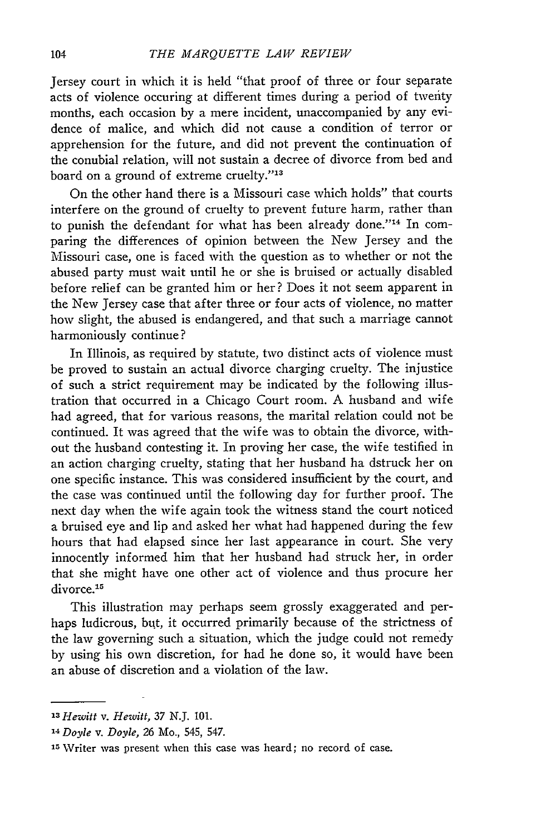Jersey court in which it is held "that proof of three or four separate acts of violence occuring at different times during a period of twenty months, each occasion by a mere incident, unaccompanied by any evidence of malice, and which did not cause a condition of terror or apprehension for the future, and did not prevent the continuation of the conubial relation, will not sustain a decree of divorce from bed and board on a ground of extreme cruelty."<sup>13</sup>

On the other hand there is a Missouri case which holds" that courts interfere on the ground of cruelty to prevent future harm, rather than to punish the defendant for what has been already done."<sup>14</sup> In comparing the differences of opinion between the New Jersey and the Missouri case, one is faced with the question as to whether or not the abused party must wait until he or she is bruised or actually disabled before relief can be granted him or her? Does it not seem apparent in the New Jersey case that after three or four acts of violence, no matter how slight, the abused is endangered, and that such a marriage cannot harmoniously continue?

In Illinois, as required by statute, two distinct acts of violence must be proved to sustain an actual divorce charging cruelty. The injustice of such a strict requirement may be indicated by the following illustration that occurred in a Chicago Court room. A husband and wife had agreed, that for various reasons, the marital relation could not be continued. It was agreed that the wife was to obtain the divorce, without the husband contesting it. In proving her case, the wife testified in an action charging cruelty, stating that her husband ha dstruck her on one specific instance. This was considered insufficient by the court, and the case was continued until the following day for further proof. The next day when the wife again took the witness stand the court noticed a bruised eye and lip and asked her what had happened during the few hours that had elapsed since her last appearance in court. She very innocently informed him that her husband had struck her, in order that she might have one other act of violence and thus procure her divorce.<sup>15</sup>

This illustration may perhaps seem grossly exaggerated and perhaps ludicrous, but, it occurred primarily because of the strictness of the law governing such a situation, which the judge could not remedy by using his own discretion, for had he done so, it would have been an abuse of discretion and a violation of the law.

*<sup>13</sup>Hewitt v. Hewitt, 37 N.J.* 101.

*<sup>1&#</sup>x27; Doyle v. Doyle,* 26 Mo., 545, 547.

**<sup>5</sup>** Writer was present when this case was heard; no record of case.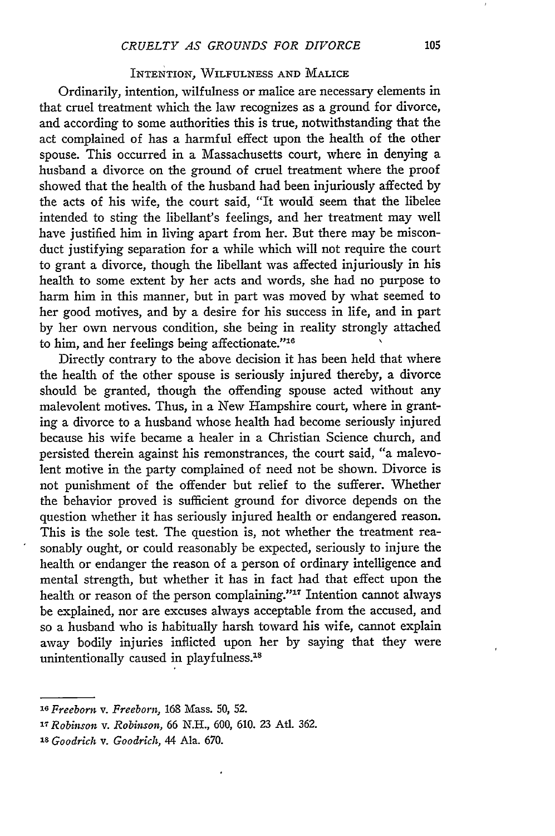#### INTENTION, WILFULNESS AND MALICE

Ordinarily, intention, wilfulness or malice are necessary elements in that cruel treatment which the law recognizes as a ground for divorce, and according to some authorities this is true, notwithstanding that the act complained of has a harmful effect upon the health of the other spouse. This occurred in a Massachusetts court, where in denying a husband a divorce on the ground of cruel treatment where the proof showed that the health of the husband had been injuriously affected by the acts of his wife, the court said, "It would seem that the libelee intended to sting the libellant's feelings, and her treatment may well have justified him in living apart from her. But there may be misconduct justifying separation for a while which will not require the court to grant a divorce, though the libellant was affected injuriously in his health to some extent by her acts and words, she had no purpose to harm him in this manner, but in part was moved by what seemed to her good motives, and by a desire for his success in life, and in part by her own nervous condition, she being in reality strongly attached to him, and her feelings being affectionate."16

Directly contrary to the above decision it has been held that where the health of the other spouse is seriously injured thereby, a divorce should be granted, though the offending spouse acted without any malevolent motives. Thus, in a New Hampshire court, where in granting a divorce to a husband whose health had become seriously injured because his wife became a healer in a Christian Science church, and persisted therein against his remonstrances, the court said, "a malevolent motive in the party complained of need not be shown. Divorce is not punishment of the offender but relief to the sufferer. Whether the behavior proved is sufficient ground for divorce depends on the question whether it has seriously injured health or endangered reason. This is the sole test. The question is, not whether the treatment reasonably ought, or could reasonably be expected, seriously to injure the health or endanger the reason of a person of ordinary intelligence and mental strength, but whether it has in fact had that effect upon the health or reason of the person complaining."<sup>17</sup> Intention cannot always be explained, nor are excuses always acceptable from the accused, and so a husband who is habitually harsh toward his wife, cannot explain away bodily injuries inflicted upon her by saying that they were unintentionally caused in playfulness.<sup>18</sup>

*<sup>16</sup>Freeborn v. Freeborn,* 168 Mass. **50, 52.**

*<sup>17</sup>Robinson v. Robinson, 66* **N.H.,** 600, 610. 23 AtI. 362.

**is** *Goodrich v. Goodrich,* 44 Ala. 670.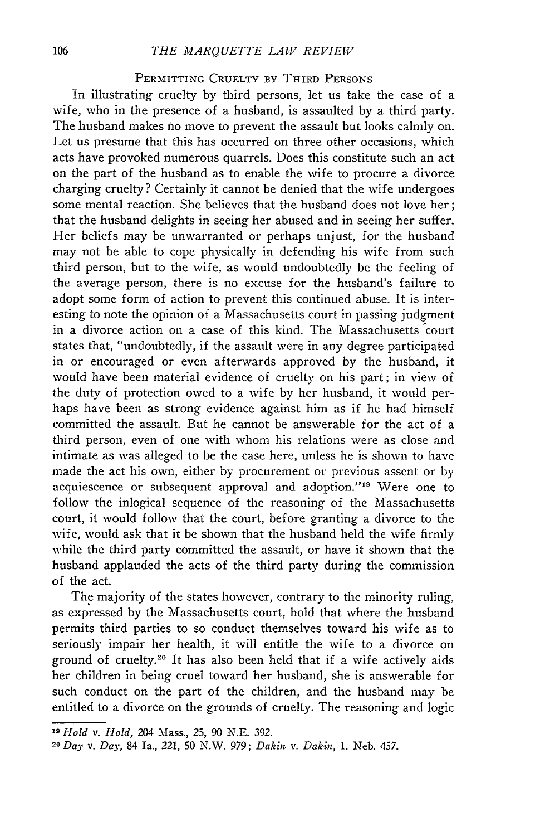#### *THE MARQUETTE LAW REVIEW*

#### PERMITTING CRUELTY BY THIRD **PERSONS**

In illustrating cruelty by third persons, let us take the case of a wife, who in the presence of a husband, is assaulted by a third party. The husband makes no move to prevent the assault but looks calmly on. Let us presume that this has occurred on three other occasions, which acts have provoked numerous quarrels. Does this constitute such an act on the part of the husband as to enable the wife to procure a divorce charging cruelty? Certainly it cannot be denied that the wife undergoes some mental reaction. She believes that the husband does not love her; that the husband delights in seeing her abused and in seeing her suffer. Her beliefs may be unwarranted or perhaps unjust, for the husband may not be able to cope physically in defending his wife from such third person, but to the wife, as would undoubtedly be the feeling of the average person, there is no excuse for the husband's failure to adopt some form of action to prevent this continued abuse. It is interesting to note the opinion of a Massachusetts court in passing judgment in a divorce action on a case of this kind. The Massachusetts court states that, "undoubtedly, if the assault were in any degree participated in or encouraged or even afterwards approved by the husband, it would have been material evidence of cruelty on his part; in view of the duty of protection owed to a wife by her husband, it would perhaps have been as strong evidence against him as if he had himself committed the assault. But he cannot be answerable for the act of a third person, even of one with whom his relations were as close and intimate as was alleged to be the case here, unless he is shown to have made the act his own, either by procurement or previous assent or by acquiescence or subsequent approval and adoption."<sup>19</sup> Were one to follow the inlogical sequence of the reasoning of the Massachusetts court, it would follow that the court, before granting a divorce to the wife, would ask that it be shown that the husband held the wife firmly while the third party committed the assault, or have it shown that the husband applauded the acts of the third party during the commission of the act.

The majority of the states however, contrary to the minority ruling, as expressed by the Massachusetts court, hold that where the husband permits third parties to so conduct themselves toward his wife as to seriously impair her health, it will entitle the wife to a divorce on ground of cruelty.<sup>20</sup> It has also been held that if a wife actively aids her children in being cruel toward her husband, she is answerable for such conduct on the part of the children, and the husband may be entitled to a divorce on the grounds of cruelty. The reasoning and logic

<sup>19</sup>*Hold v. Hold,* 204 Mass., **25,** 90 N.E. 392.

**<sup>20</sup>** *Day v. Day,* 84 Ia., 221, 50 N.W. *979; Dakin v. Dakin,* **1.** Neb. 457.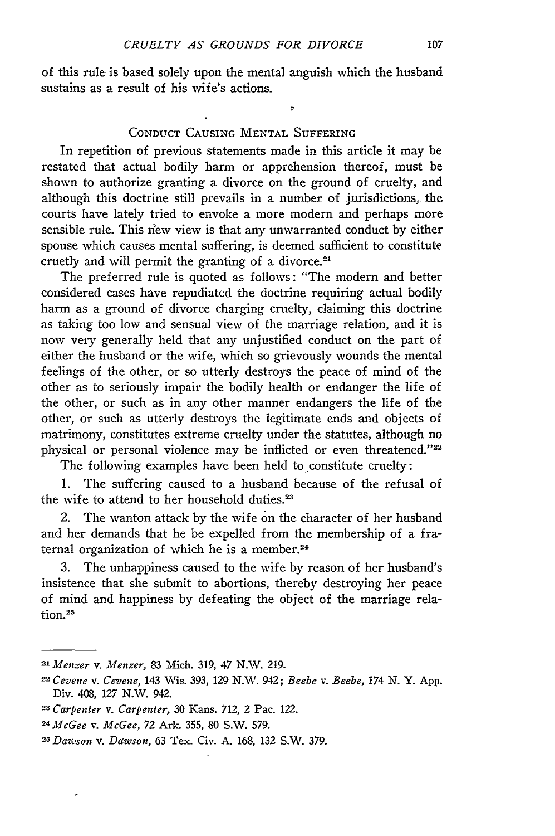of this rule is based solely upon the mental anguish which the husband sustains as a result of his wife's actions.

#### **CONDUCT CAUSING MENTAL** SUFFERING

In repetition of previous statements made in this article it may be restated that actual bodily harm or apprehension thereof, must be shown to authorize granting a divorce on the ground of cruelty, and although this doctrine still prevails in a number of jurisdictions, the courts have lately tried to envoke a more modern and perhaps more sensible rule. This new view is that any unwarranted conduct by either spouse which causes mental suffering, is deemed sufficient to constitute cruetly and will permit the granting of a divorce. $21$ 

The preferred rule is quoted as follows: "The modern and better considered cases have repudiated the doctrine requiring actual bodily harm as a ground of divorce charging cruelty, claiming this doctrine as taking too low and sensual view of the marriage relation, and it is now very generally held that any unjustified conduct on the part of either the husband or the wife, which so grievously wounds the mental feelings of the other, or so utterly destroys the peace of mind of the other as to seriously impair the bodily health or endanger the life of the other, or such as in any other manner endangers the life of the other, or such as utterly destroys the legitimate ends and objects of matrimony, constitutes extreme cruelty under the statutes, although no physical or personal violence may be inflicted or even threatened."<sup>22</sup>

The following examples have been held to constitute cruelty:

1. The suffering caused to a husband because of the refusal of the wife to attend to her household duties.<sup>23</sup>

2. The wanton attack by the wife on the character of her husband and her demands that he be expelled from the membership of a fraternal organization of which he is a member.<sup>24</sup>

3. The unhappiness caused to the wife by reason of her husband's insistence that she submit to abortions, thereby destroying her peace of mind and happiness by defeating the object of the marriage rela**tion.2 <sup>5</sup>**

*<sup>21</sup>Menzer v. Menzer,* 83 Mich. 319, 47 N.W. 219.

*<sup>22</sup>Cevene v. Cevene,* 143 Wis. 393, 129 N.W. 942; *Beebe v. Beebe, 174* N. Y. App. Div. 408, 127 N.W. 942.

*<sup>23</sup> Carpenter v. Carpenter,* 30 Kans. *712,* 2 Pac. 122.

<sup>24</sup>*McGee v. McGee,* 72 Ark. 355, 80 S.W. 579.

*<sup>25</sup> Daw'son v. Ddwson,* 63 Tex. Civ. A. 168, 132 S.W. *379.*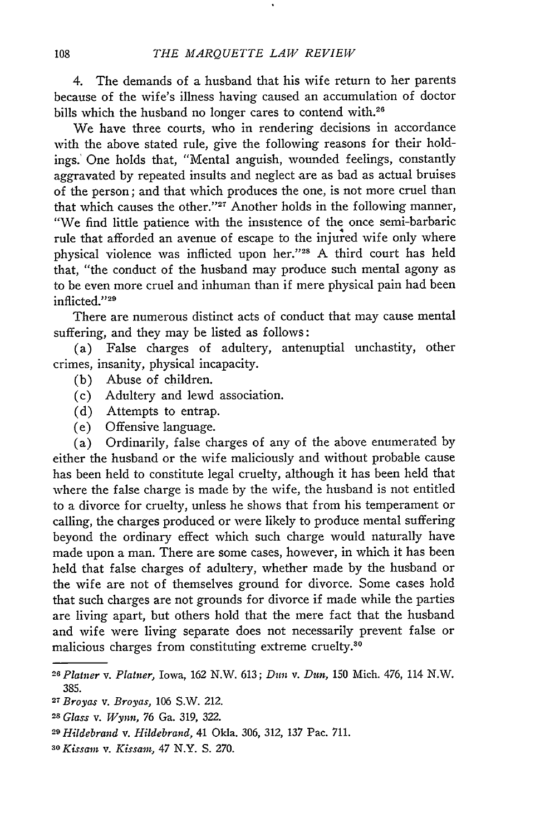4. The demands of a husband that his wife return to her parents because of the wife's illness having caused an accumulation of doctor bills which the husband no longer cares to contend with.<sup>26</sup>

We have three courts, who in rendering decisions in accordance with the above stated rule, give the following reasons for their holdings.' One holds that, "Mental anguish, wounded feelings, constantly aggravated by repeated insults and neglect are as bad as actual bruises of the person; and that which produces the one, is not more cruel than that which causes the other."<sup>27</sup> Another holds in the following manner, "We find little patience with the insistence of the once semi-barbaric rule that afforded an avenue of escape to the injured wife only where physical violence was inflicted upon her."<sup>28</sup> A third court has held that, "the conduct of the husband may produce such mental agony as to be even more cruel and inhuman than if mere physical pain had been inflicted."<sup>29</sup>

There are numerous distinct acts of conduct that may cause mental suffering, and they may be listed as follows:

(a) False charges of adultery, antenuptial unchastity, other crimes, insanity, physical incapacity.

- (b) Abuse of children.
- (c) Adultery and lewd association.
- (d) Attempts to entrap.
- (e) Offensive language.

(a) Ordinarily, false charges of any of the above enumerated by either the husband or the wife maliciously and without probable cause has been held to constitute legal cruelty, although it has been held that where the false charge is made by the wife, the husband is not entitled to a divorce for cruelty, unless he shows that from his temperament or calling, the charges produced or were likely to produce mental suffering beyond the ordinary effect which such charge would naturally have made upon a man. There are some cases, however, in which it has been held that false charges of adultery, whether made by the husband or the wife are not of themselves ground for divorce. Some cases hold that such charges are not grounds for divorce if made while the parties are living apart, but others hold that the mere fact that the husband and wife were living separate does not necessarily prevent false or malicious charges from constituting extreme cruelty.<sup>30</sup>

*<sup>28</sup>Plainer v. Platner,* Iowa, 162 N.W. 613; *Dun* v. *Dun,* 150 Mich. 476, 114 N.W. 385.

*<sup>2</sup> 7Broyas v. Broyas,* 106 S.W. 212.

*<sup>28</sup>Glass v. Wynn,* 76 Ga. 319, 322.

*<sup>29</sup> Hildebrand v. Hildebrand,* 41 Okla. 306, 312, 137 Pac. 711.

*<sup>30</sup> Kissam v. Kissait, 47* N.Y. S. 270.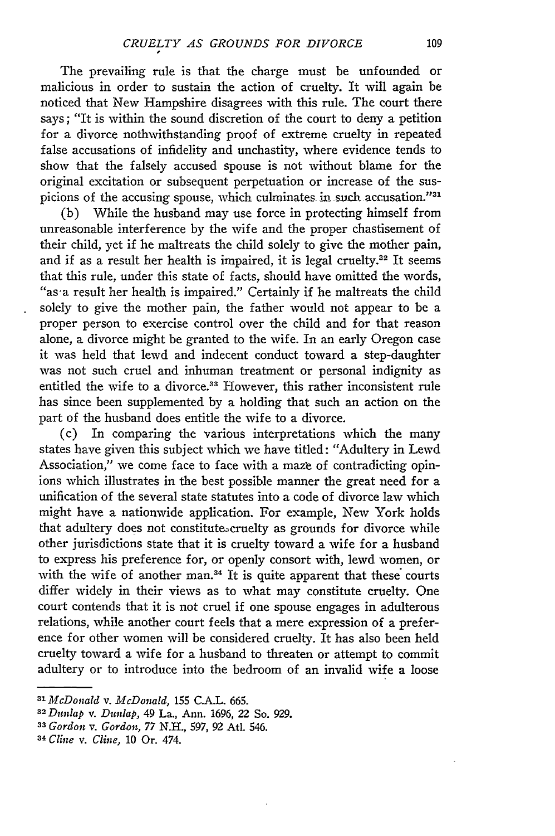The prevailing rule is that the charge must be unfounded or malicious in order to sustain the action of cruelty. It will again be noticed that New Hampshire disagrees with this rule. The court there says; "It is within the sound discretion of the court to deny a petition for a divorce nothwithstanding proof of extreme cruelty in repeated false accusations of infidelity and unchastity, where evidence tends to show that the falsely accused spouse is not without blame for the original excitation or subsequent perpetuation or increase of the suspicions of the accusing spouse, which culminates in such accusation."31

(b) While the husband may use force in protecting himself from unreasonable interference by the wife and the proper chastisement of their child, yet if he maltreats the child solely to give the mother pain, and if as a result her health is impaired, it is legal cruelty.<sup>32</sup> It seems that this rule, under this state of facts, should have omitted the words, "as-a result her health is impaired." Certainly if he maltreats the child solely to give the mother pain, the father would not appear to be a proper person to exercise control over the child and for that reason alone, a divorce might be granted to the wife. In an early Oregon case it was held that lewd and indecent conduct toward a step-daughter was not such cruel and inhuman treatment or personal indignity as entitled the wife to a divorce.<sup>33</sup> However, this rather inconsistent rule has since been supplemented by a holding that such an action on the part of the husband does entitle the wife to a divorce.

(c) In comparing the various interpretations which the many states have given this subject which we have titled: "Adultery in Lewd Association," we come face to face with a maze of contradicting opinions which illustrates in the best possible manner the great need for a unification of the several state statutes into a code of divorce law which might have a nationwide application. For example, New York holds that adultery does not constitutes cruelty as grounds for divorce while other jurisdictions state that it is cruelty toward a wife for a husband to express his preference for, or openly consort with, lewd women, or with the wife of another man.<sup>34</sup> It is quite apparent that these courts differ widely in their views as to what may constitute cruelty. One court contends that it is not cruel if one spouse engages in adulterous relations, while another court feels that a mere expression of a preference for other women will be considered cruelty. It has also been held cruelty toward a wife for a husband to threaten or attempt to commit adultery or to introduce into the bedroom of an invalid wife a loose

*<sup>31</sup>McDonald v. McDonald,* 155 C.A.L. 665.

**<sup>32</sup>***Dunlap v. Dunlap,* 49 La., Ann. 1696, 22 So. 929.

*<sup>33</sup>Gordon v. Gordon, 77* N.H., 597, 92 AtI. 546.

*<sup>34</sup> Cline v. Cline,* 10 Or. 474.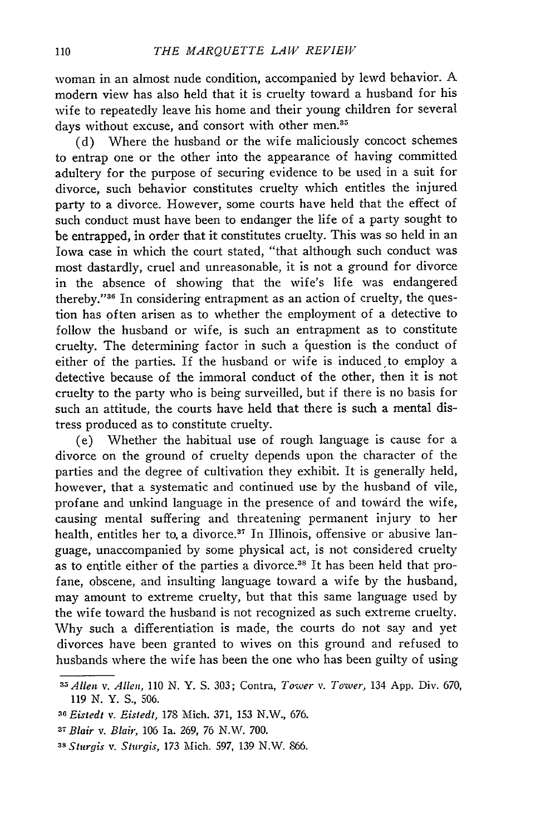woman in an almost nude condition, accompanied by lewd behavior. A modern view has also held that it is cruelty toward a husband for his wife to repeatedly leave his home and their young children for several days without excuse, and consort with other men.<sup>35</sup>

(d) Where the husband or the wife maliciously concoct schemes to entrap one or the other into the appearance of having committed adultery for the purpose of securing evidence to be used in a suit for divorce, such behavior constitutes cruelty which entitles the injured party to a divorce. However, some courts have held that the effect of such conduct must have been to endanger the life of a party sought to be entrapped, in order that it constitutes cruelty. This was so held in an Iowa case in which the court stated, "that although such conduct was most dastardly, cruel and unreasonable, it is not a ground for divorce in the absence of showing that the wife's life was endangered thereby."<sup>36</sup> In considering entrapment as an action of cruelty, the question has often arisen as to whether the employment of a detective to follow the husband or wife, is such an entrapment as to constitute cruelty. The determining factor in such a question is the conduct of either of the parties. If the husband or wife is induced to employ a detective because of the immoral conduct of the other, then it is not cruelty to the party who is being surveilled, but if there is no basis for such an attitude, the courts have held that there is such a mental distress produced as to constitute cruelty.

(e) Whether the habitual use of rough language is cause for a divorce on the ground of cruelty depends upon the character of the parties and the degree of cultivation they exhibit. It is generally held, however, that a systematic and continued use by the husband of vile, profane and unkind language in the presence of and toward the wife, causing mental suffering and threatening permanent injury to her health, entitles her to a divorce.<sup>37</sup> In Illinois, offensive or abusive language, unaccompanied by some physical act, is not considered cruelty as to entitle either of the parties a divorce **. 3** It has been held that profane, obscene, and insulting language toward a wife by the husband, may amount to extreme cruelty, but that this same language used by the wife toward the husband is not recognized as such extreme cruelty. Why such a differentiation is made, the courts do not say and yet divorces have been granted to wives on this ground and refused to husbands where the wife has been the one who has been guilty of using

*<sup>35</sup>Allen v. Allen,* **110** N. Y. S. 303; Contra, *Tower v.* To'wer, 134 App. Div. 670, 119 N. Y. S., 506.

*<sup>36</sup> Eistedt v. Eistedt,* 178 Mich. 371, 153 N.W., 676.

<sup>37</sup>*Blair* v. *Blair,* 106 Ia. 269, 76 N.W. 700.

*<sup>38</sup> Sturgis v. Sturgis,* 173 Mich. 597, 139 N.W. 866.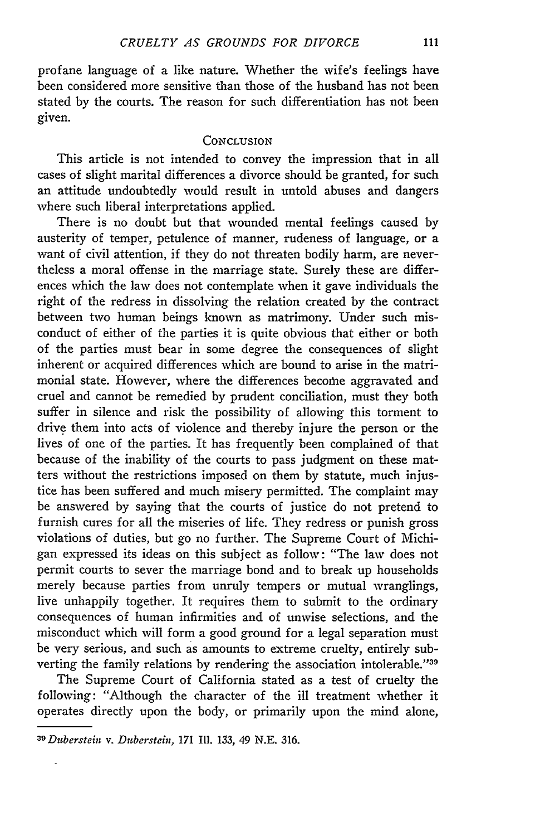profane language of a like nature. Whether the wife's feelings have been considered more sensitive than those of the husband has not been stated by the courts. The reason for such differentiation has not been given.

#### **CONCLUSION**

This article is not intended to convey the impression that in all cases of slight marital differences a divorce should be granted, for such an attitude undoubtedly would result in untold abuses and dangers where such liberal interpretations applied.

There is no doubt but that wounded mental feelings caused by austerity of temper, petulence of manner, rudeness of language, or a want of civil attention, if they do not threaten bodily harm, are nevertheless a moral offense in the marriage state. Surely these are differences which the law does not contemplate when it gave individuals the right of the redress in dissolving the relation created by the contract between two human beings known as matrimony. Under such misconduct of either of the parties it is quite obvious that either or both of the parties must bear in some degree the consequences of slight inherent or acquired differences which are bound to arise in the matrimonial state. However, where the differences become aggravated and cruel and cannot be remedied by prudent conciliation, must they both suffer in silence and risk the possibility of allowing this torment to drive them into acts of violence and thereby injure the person or the lives of one of the parties. It has frequently been complained of that because of the inability of the courts to pass judgment on these matters without the restrictions imposed on them by statute, much injustice has been suffered and much misery permitted. The complaint may be answered by saying that the courts of justice do not pretend to furnish cures for all the miseries of life. They redress or punish gross violations of duties, but go no further. The Supreme Court of Michigan expressed its ideas on this subject as follow: "The law does not permit courts to sever the marriage bond and to break up households merely because parties from unruly tempers or mutual wranglings, live unhappily together. It requires them to submit to the ordinary consequences of human infirmities and of unwise selections, and the misconduct which will form a good ground for a legal separation must be very serious, and such as amounts to extreme cruelty, entirely subverting the family relations by rendering the association intolerable."<sup>39</sup>

The Supreme Court of California stated as a test of cruelty the following: "Although the character of the ill treatment whether it operates directly upon the body, or primarily upon the mind alone,

*<sup>39</sup>Duberstein v. Duberstein, 171* **Il1.** 133, 49 N.E. 316.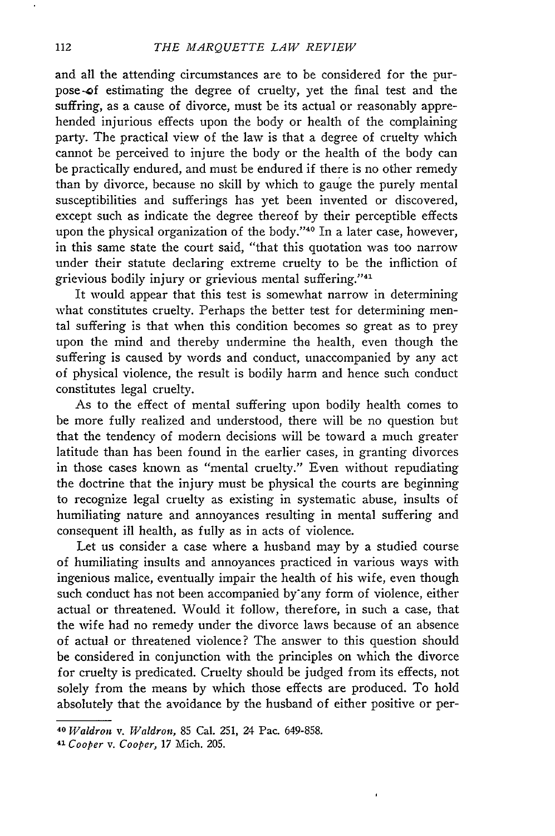and all the attending circumstances are to be considered for the purpose-of estimating the degree of cruelty, yet the final test and the suffring, as a cause of divorce, must be its actual or reasonably apprehended injurious effects upon the body or health of the complaining party. The practical view of the law is that a degree of cruelty which cannot be perceived to injure the body or the health of the body can be practically endured, and must be endured if there is no other remedy than by divorce, because no skill by which to gauge the purely mental susceptibilities and sufferings has yet been invented or discovered, except such as indicate the degree thereof by their perceptible effects upon the physical organization of the body."<sup>40</sup> In a later case, however, in this same state the court said, "that this quotation was too narrow under their statute declaring extreme cruelty to be the infliction of grievious bodily injury or grievious mental suffering."<sup>41</sup>

It would appear that this test is somewhat narrow in determining what constitutes cruelty. Perhaps the better test for determining mental suffering is that when this condition becomes so great as to prey upon the mind and thereby undermine the health, even though the suffering is caused by words and conduct, unaccompanied by any act of physical violence, the result is bodily harm and hence such conduct constitutes legal cruelty.

As to the effect of mental suffering upon bodily health comes to be more fully realized and understood, there will be no question but that the tendency of modern decisions will be toward a much greater latitude than has been found in the earlier cases, in granting divorces in those cases known as "mental cruelty." Even without repudiating the doctrine that the injury must be physical the courts are beginning to recognize legal cruelty as existing in systematic abuse, insults of humiliating nature and annoyances resulting in mental suffering and consequent ill health, as fully as in acts of violence.

Let us consider a case where a husband may by a studied course of humiliating insults and annoyances practiced in various ways with ingenious malice, eventually impair the health of his wife, even though such conduct has not been accompanied by any form of violence, either actual or threatened. Would it follow, therefore, in such a case, that the wife had no remedy under the divorce laws because of an absence of actual or threatened violence? The answer to this question should be considered in conjunction with the principles on which the divorce for cruelty is predicated. Cruelty should be judged from its effects, not solely from the means by which those effects are produced. To hold absolutely that the avoidance by the husband of either positive or per-

*<sup>40</sup>Waldron v. Waldron,* 85 Cal. 251, 24 Pac. 649-858.

*<sup>41</sup> Cooper v. Cooper,* 17 Mich. 205.